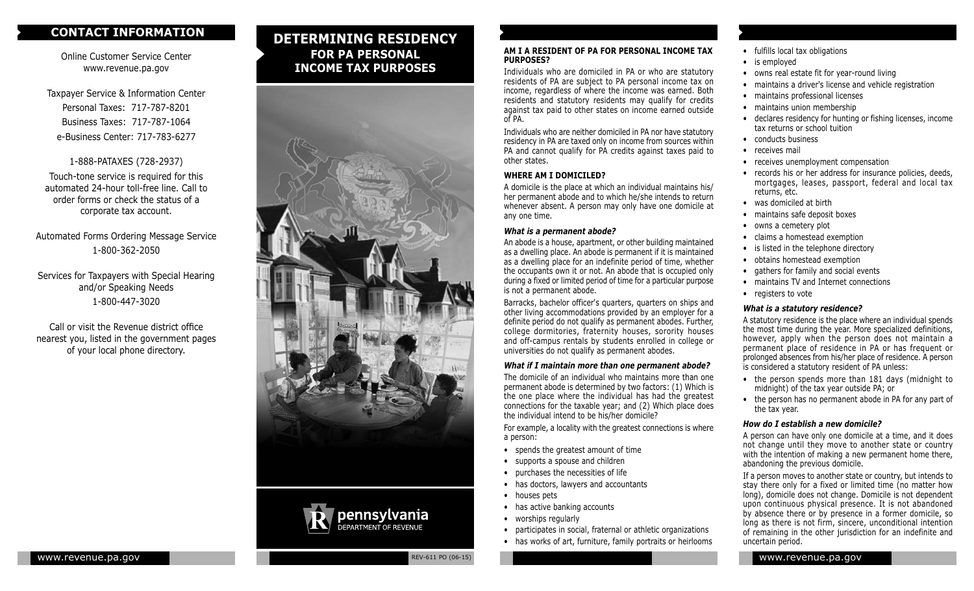## **CONTACT INFORMATION**

Online Customer Service Center www.revenue.pa.gov

Taxpayer Service & Information Center Personal Taxes: 717-787-8201 Business Taxes: 717-787-1064 e-Business Center: 717-783-6277

1-888-PATAXES (728-2937) Touch-tone service is required for this automated 24-hour toll-free line. Call to order forms or check the status of a corporate tax account.

Automated Forms Ordering Message Service 1-800-362-2050

Services for Taxpayers with Special Hearing and/or Speaking Needs 1-800-447-3020

Call or visit the Revenue district office nearest you, listed in the government pages of your local phone directory.

# **DETERMINING RESIDENCY FOR PA PERSONAL INCOME TAX PURPOSES**





#### **AM I A RESIDENT OF PA FOR PERSONAL INCOME TAX PURPOSES?**

Individuals who are domiciled in PA or who are statutory residents of PA are subject to PA personal income tax on income, regardless of where the income was earned. Both residents and statutory residents may qualify for credits against tax paid to other states on income earned outside of PA.

Individuals who are neither domiciled in PA nor have statutory residency in PA are taxed only on income from sources within PA and cannot qualify for PA credits against taxes paid to other states.

## **WHERE AM I DOMICILED?**

A domicile is the place at which an individual maintains his/ her permanent abode and to which he/she intends to return whenever absent. A person may only have one domicile at any one time.

#### *What is a permanent abode?*

An abode is a house, apartment, or other building maintained as a dwelling place. An abode is permanent if it is maintained as a dwelling place for an indefinite period of time, whether the occupants own it or not. An abode that is occupied only during a fixed or limited period of time for a particular purpose is not a permanent abode.

Barracks, bachelor officer's quarters, quarters on ships and other living accommodations provided by an employer for a definite period do not qualify as permanent abodes. Further, college dormitories, fraternity houses, sorority houses and off-campus rentals by students enrolled in college or universities do not qualify as permanent abodes.

## *What if I maintain more than one permanent abode?*

The domicile of an individual who maintains more than one permanent abode is determined by two factors: (1) Which is the one place where the individual has had the greatest connections for the taxable year; and (2) Which place does the individual intend to be his/her domicile?

For example, a locality with the greatest connections is where a person:

- spends the greatest amount of time
- supports a spouse and children
- purchases the necessities of life
- has doctors, lawyers and accountants
- houses pets
- has active banking accounts
- worships regularly
- participates in social, fraternal or athletic organizations
- has works of art, furniture, family portraits or heirlooms
- fulfills local tax obligations
- is employed
- owns real estate fit for year-round living
	- maintains a driver's license and vehicle registration
	- maintains professional licenses
	- maintains union membership
	- declares residency for hunting or fishing licenses, income tax returns or school tuition
	- conducts business
	- receives mail
	- receives unemployment compensation
	- records his or her address for insurance policies, deeds, mortgages, leases, passport, federal and local tax returns, etc.
	- was domiciled at birth
	- maintains safe deposit boxes
	- owns a cemetery plot
	- claims a homestead exemption
	- is listed in the telephone directory
	- obtains homestead exemption
- gathers for family and social events
- maintains TV and Internet connections
- registers to vote

## *What is a statutory residence?*

A statutory residence is the place where an individual spends the most time during the year. More specialized definitions, however, apply when the person does not maintain a permanent place of residence in PA or has frequent or prolonged absences from his/her place of residence. A person is considered a statutory resident of PA unless:

- the person spends more than 181 days (midnight to midnight) of the tax year outside PA; or
- the person has no permanent abode in PA for any part of the tax year.

#### *How do I establish a new domicile?*

A person can have only one domicile at a time, and it does not change until they move to another state or country with the intention of making a new permanent home there, abandoning the previous domicile.

If a person moves to another state or country, but intends to stay there only for a fixed or limited time (no matter how long), domicile does not change. Domicile is not dependent upon continuous physical presence. It is not abandoned by absence there or by presence in a former domicile, so long as there is not firm, sincere, unconditional intention of remaining in the other jurisdiction for an indefinite and uncertain period.